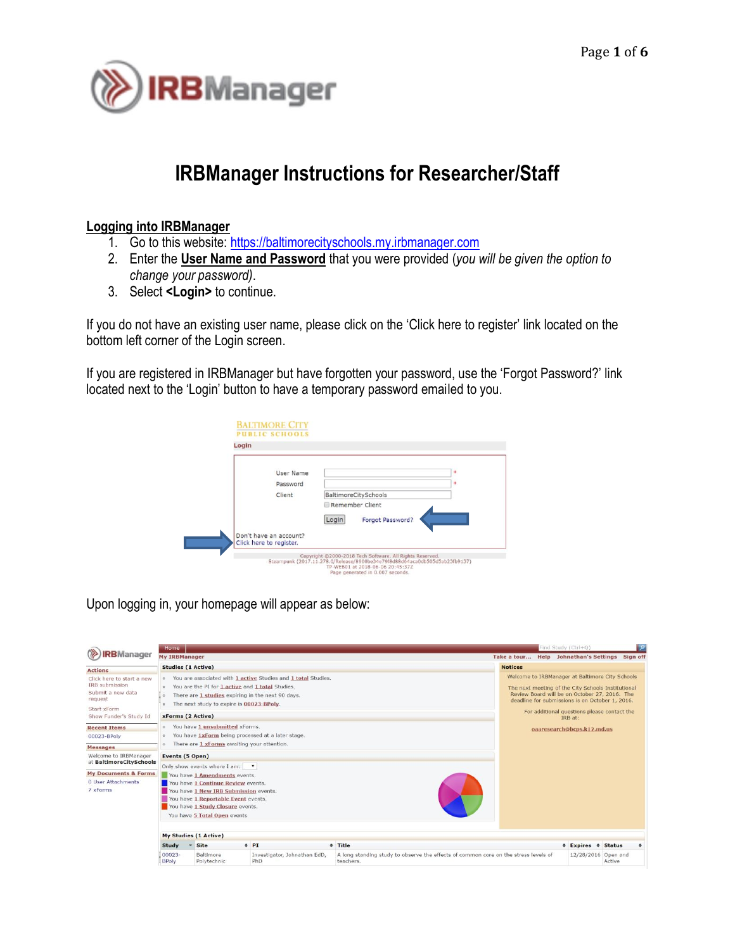

# **IRBManager Instructions for Researcher/Staff**

## **Logging into IRBManager**

- 1. Go to this website[: https://baltimorecityschools.my.irbmanager.com](https://baltimorecityschools.my.irbmanager.com/)
- 2. Enter the **User Name and Password** that you were provided (*you will be given the option to change your password)*.
- 3. Select **<Login>** to continue.

If you do not have an existing user name, please click on the 'Click here to register' link located on the bottom left corner of the Login screen.

If you are registered in IRBManager but have forgotten your password, use the 'Forgot Password?' link located next to the 'Login' button to have a temporary password emailed to you.

| Login |                                                   |       |                      |              |
|-------|---------------------------------------------------|-------|----------------------|--------------|
|       |                                                   |       |                      |              |
|       | User Name                                         |       |                      | $\mathbf{a}$ |
|       | Password                                          |       |                      | *            |
|       | Client                                            |       | BaltimoreCitySchools |              |
|       |                                                   |       | Remember Client      |              |
|       |                                                   | Login | Forgot Password?     |              |
|       | Don't have an account?<br>Click here to register. |       |                      |              |

Upon logging in, your homepage will appear as below:

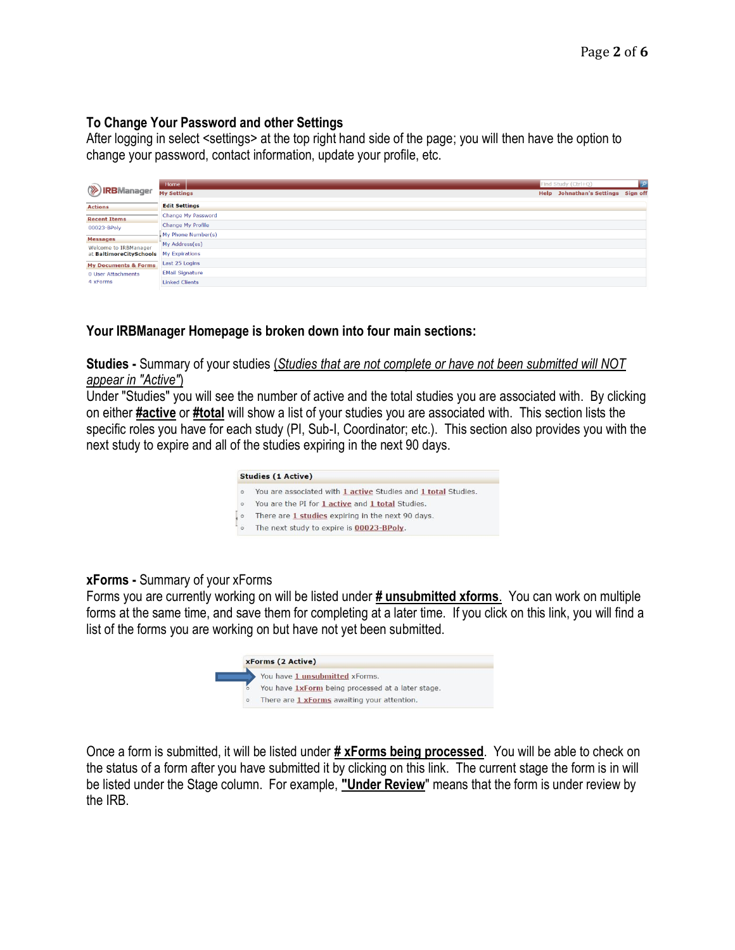### **To Change Your Password and other Settings**

After logging in select <settings> at the top right hand side of the page; you will then have the option to change your password, contact information, update your profile, etc.

|                                 | Home                   | Find Study (Ctrl+Q)                | ्। |
|---------------------------------|------------------------|------------------------------------|----|
| <b>.RB</b> Manager              | <b>My Settings</b>     | Help Johnathan's Settings Sign off |    |
| <b>Actions</b>                  | <b>Edit Settings</b>   |                                    |    |
| <b>Recent Items</b>             | Change My Password     |                                    |    |
| 00023-BPoly                     | Change My Profile      |                                    |    |
| <b>Messages</b>                 | My Phone Number(s)     |                                    |    |
| Welcome to IRBManager           | My Address(es)         |                                    |    |
| at BaltimoreCitySchools         | My Expirations         |                                    |    |
| <b>My Documents &amp; Forms</b> | Last 25 Logins         |                                    |    |
| 0 User Attachments              | <b>EMail Signature</b> |                                    |    |
| 4 xForms                        | <b>Linked Clients</b>  |                                    |    |

# **Your IRBManager Homepage is broken down into four main sections:**

**Studies -** Summary of your studies (*Studies that are not complete or have not been submitted will NOT appear in "Active"*)

Under "Studies" you will see the number of active and the total studies you are associated with. By clicking on either **#active** or **#total** will show a list of your studies you are associated with. This section lists the specific roles you have for each study (PI, Sub-I, Coordinator; etc.). This section also provides you with the next study to expire and all of the studies expiring in the next 90 days.

|         | <b>Studies (1 Active)</b>                                     |
|---------|---------------------------------------------------------------|
| $\circ$ | You are associated with 1 active Studies and 1 total Studies. |
| $\circ$ | You are the PI for 1 active and 1 total Studies.              |
|         | There are 1 studies expiring in the next 90 days.             |
| ο.      | The next study to expire is 00023-BPoly.                      |

# **xForms -** Summary of your xForms

Forms you are currently working on will be listed under **# unsubmitted xforms**. You can work on multiple forms at the same time, and save them for completing at a later time. If you click on this link, you will find a list of the forms you are working on but have not yet been submitted.



Once a form is submitted, it will be listed under **# xForms being processed**. You will be able to check on the status of a form after you have submitted it by clicking on this link. The current stage the form is in will be listed under the Stage column. For example, **"Under Review**" means that the form is under review by the IRB.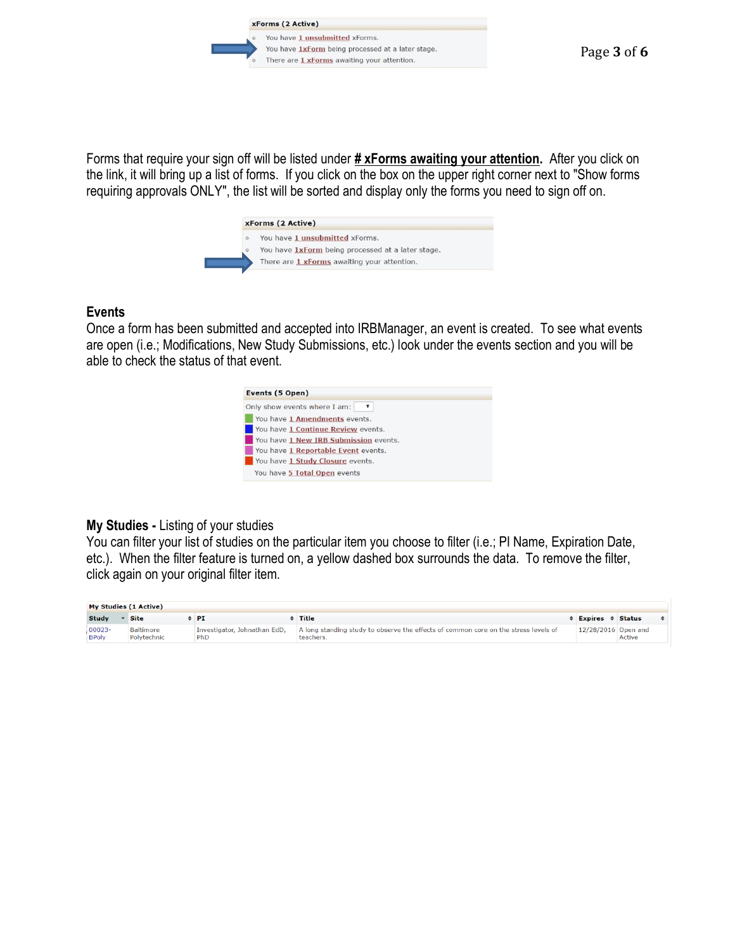xForms (2 Active)



Forms that require your sign off will be listed under **# xForms awaiting your attention.** After you click on the link, it will bring up a list of forms. If you click on the box on the upper right corner next to "Show forms requiring approvals ONLY", the list will be sorted and display only the forms you need to sign off on.



## **Events**

Once a form has been submitted and accepted into IRBManager, an event is created. To see what events are open (i.e.; Modifications, New Study Submissions, etc.) look under the events section and you will be able to check the status of that event.



# **My Studies -** Listing of your studies

You can filter your list of studies on the particular item you choose to filter (i.e.; PI Name, Expiration Date, etc.). When the filter feature is turned on, a yellow dashed box surrounds the data. To remove the filter, click again on your original filter item.

| My Studies (1 Active)     |                                 |                                     |                                                                                                  |  |                              |        |  |
|---------------------------|---------------------------------|-------------------------------------|--------------------------------------------------------------------------------------------------|--|------------------------------|--------|--|
| Study                     | <b>Site</b>                     | PI                                  | Title                                                                                            |  | $\div$ Expires $\div$ Status |        |  |
| $00023 -$<br><b>BPoly</b> | <b>Baltimore</b><br>Polytechnic | Investigator, Johnathan EdD,<br>PhD | A long standing study to observe the effects of common core on the stress levels of<br>teachers. |  | 12/28/2016 Open and          | Active |  |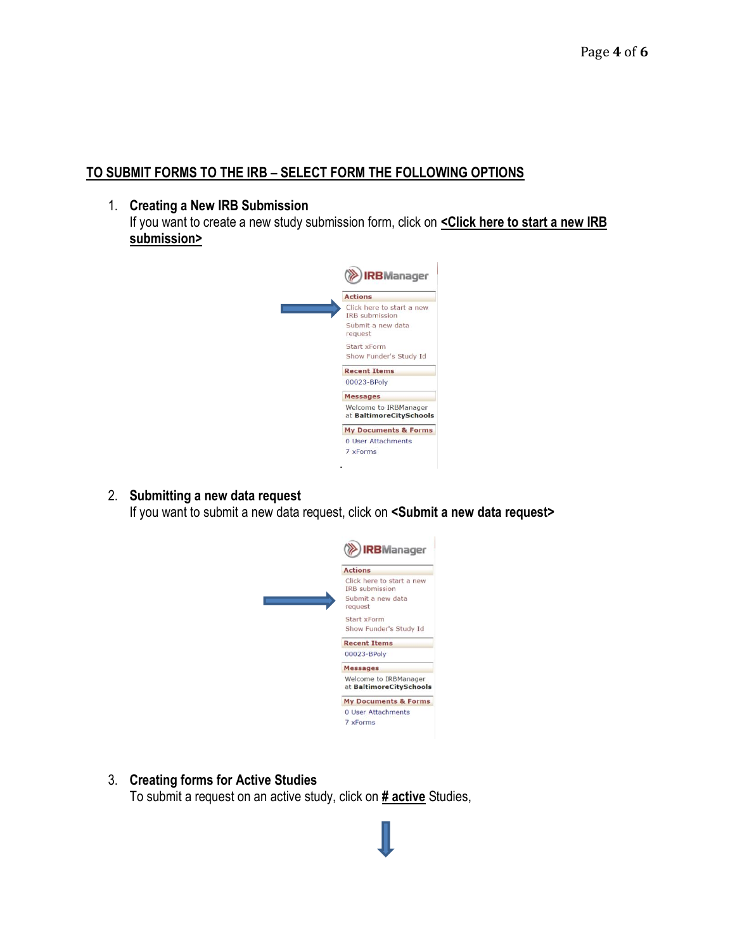# **TO SUBMIT FORMS TO THE IRB – SELECT FORM THE FOLLOWING OPTIONS**

#### 1. **Creating a New IRB Submission**

If you want to create a new study submission form, click on **<Click here to start a new IRB submission>**



#### 2. **Submitting a new data request**

If you want to submit a new data request, click on **<Submit a new data request>**



### 3. **Creating forms for Active Studies**

To submit a request on an active study, click on **# active** Studies,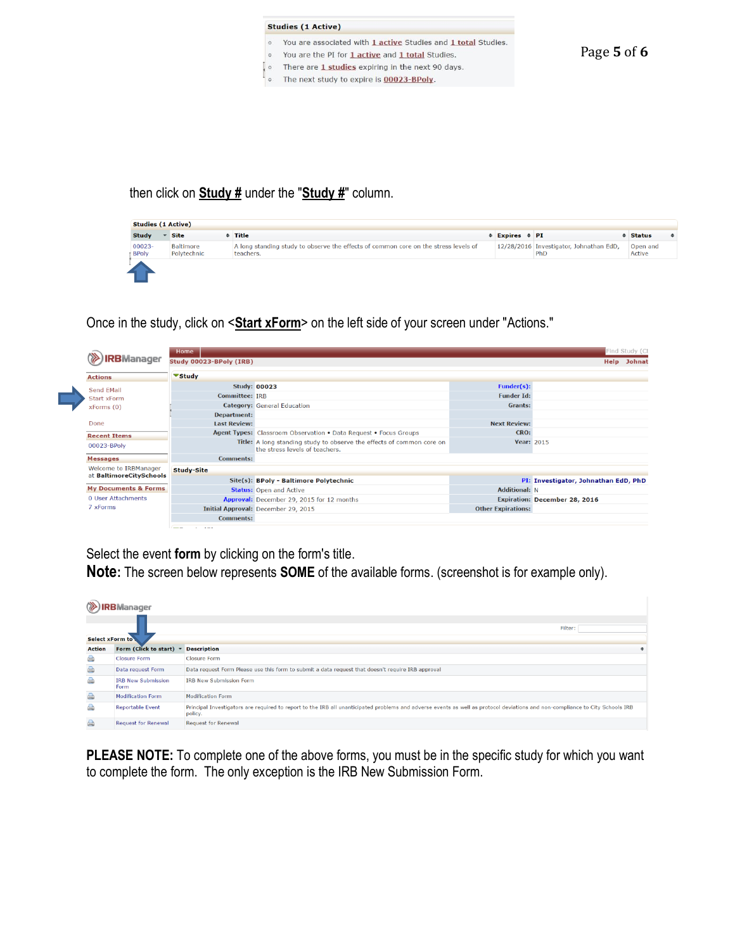

then click on **Study #** under the "**Study #**" column.

| <b>Studies (1 Active)</b> |                          |                                                                                                  |                          |                                                |                    |   |
|---------------------------|--------------------------|--------------------------------------------------------------------------------------------------|--------------------------|------------------------------------------------|--------------------|---|
| <b>Study</b>              | <b>Site</b>              | Title                                                                                            | $\div$ Expires $\div$ PI |                                                | <b>Status</b>      | ٠ |
| 00023-<br><b>BPoly</b>    | Baltimore<br>Polytechnic | A long standing study to observe the effects of common core on the stress levels of<br>teachers. |                          | 12/28/2016 Investigator, Johnathan EdD,<br>PhD | Open and<br>Active |   |
| --                        |                          |                                                                                                  |                          |                                                |                    |   |

Once in the study, click on <**Start xForm**> on the left side of your screen under "Actions."



Select the event **form** by clicking on the form's title.

**Note:** The screen below represents **SOME** of the available forms. (screenshot is for example only).

|                        | Manager                           |                                                                                                                                                                                          |
|------------------------|-----------------------------------|------------------------------------------------------------------------------------------------------------------------------------------------------------------------------------------|
| <b>Select xForm to</b> |                                   | Filter:                                                                                                                                                                                  |
| <b>Action</b>          | Form (Click to start)             | <b>Description</b>                                                                                                                                                                       |
| A                      | <b>Closure Form</b>               | <b>Closure Form</b>                                                                                                                                                                      |
| a                      | Data request Form                 | Data request Form Please use this form to submit a data request that doesn't require IRB approval                                                                                        |
| A                      | <b>IRB New Submission</b><br>Form | <b>IRB New Submission Form</b>                                                                                                                                                           |
| a)                     | <b>Modification Form</b>          | <b>Modification Form</b>                                                                                                                                                                 |
| A                      | <b>Reportable Event</b>           | Principal Investigators are required to report to the IRB all unanticipated problems and adverse events as well as protocol deviations and non-compliance to City Schools IRB<br>policy. |
| A                      | <b>Request for Renewal</b>        | <b>Request for Renewal</b>                                                                                                                                                               |

**PLEASE NOTE:** To complete one of the above forms, you must be in the specific study for which you want to complete the form. The only exception is the IRB New Submission Form.